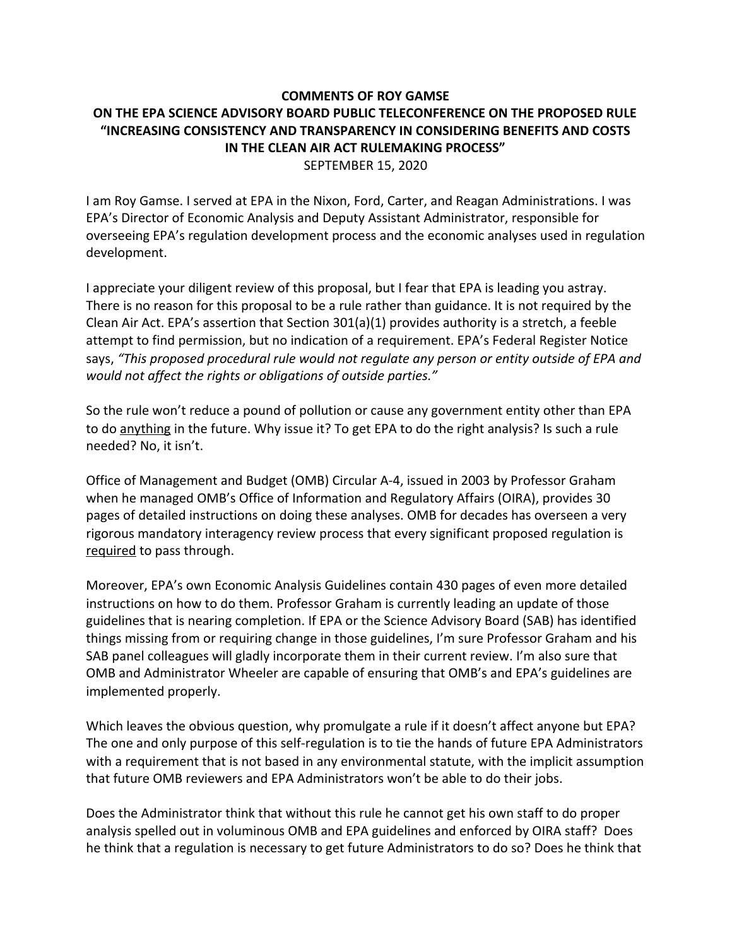## **COMMENTS OF ROY GAMSE ON THE EPA SCIENCE ADVISORY BOARD PUBLIC TELECONFERENCE ON THE PROPOSED RULE "INCREASING CONSISTENCY AND TRANSPARENCY IN CONSIDERING BENEFITS AND COSTS IN THE CLEAN AIR ACT RULEMAKING PROCESS"** SEPTEMBER 15, 2020

I am Roy Gamse. I served at EPA in the Nixon, Ford, Carter, and Reagan Administrations. I was EPA's Director of Economic Analysis and Deputy Assistant Administrator, responsible for overseeing EPA's regulation development process and the economic analyses used in regulation development.

I appreciate your diligent review of this proposal, but I fear that EPA is leading you astray. There is no reason for this proposal to be a rule rather than guidance. It is not required by the Clean Air Act. EPA's assertion that Section 301(a)(1) provides authority is a stretch, a feeble attempt to find permission, but no indication of a requirement. EPA's Federal Register Notice says, *"This proposed procedural rule would not regulate any person or entity outside of EPA and would not affect the rights or obligations of outside parties."*

So the rule won't reduce a pound of pollution or cause any government entity other than EPA to do anything in the future. Why issue it? To get EPA to do the right analysis? Is such a rule needed? No, it isn't.

Office of Management and Budget (OMB) Circular A-4, issued in 2003 by Professor Graham when he managed OMB's Office of Information and Regulatory Affairs (OIRA), provides 30 pages of detailed instructions on doing these analyses. OMB for decades has overseen a very rigorous mandatory interagency review process that every significant proposed regulation is required to pass through.

Moreover, EPA's own Economic Analysis Guidelines contain 430 pages of even more detailed instructions on how to do them. Professor Graham is currently leading an update of those guidelines that is nearing completion. If EPA or the Science Advisory Board (SAB) has identified things missing from or requiring change in those guidelines, I'm sure Professor Graham and his SAB panel colleagues will gladly incorporate them in their current review. I'm also sure that OMB and Administrator Wheeler are capable of ensuring that OMB's and EPA's guidelines are implemented properly.

Which leaves the obvious question, why promulgate a rule if it doesn't affect anyone but EPA? The one and only purpose of this self-regulation is to tie the hands of future EPA Administrators with a requirement that is not based in any environmental statute, with the implicit assumption that future OMB reviewers and EPA Administrators won't be able to do their jobs.

Does the Administrator think that without this rule he cannot get his own staff to do proper analysis spelled out in voluminous OMB and EPA guidelines and enforced by OIRA staff? Does he think that a regulation is necessary to get future Administrators to do so? Does he think that